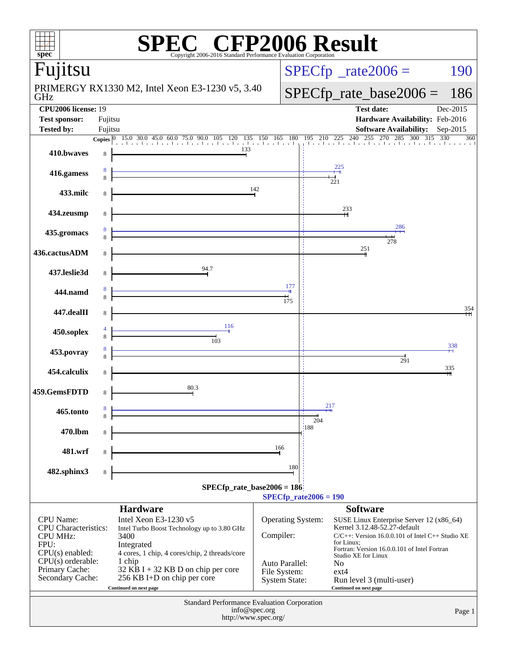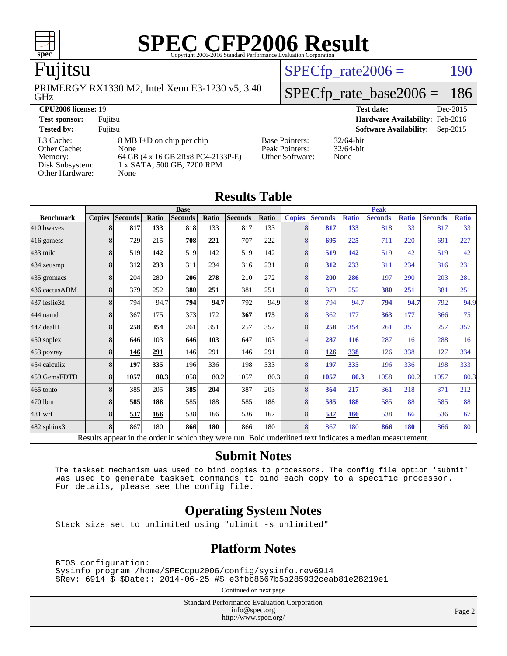

### Fujitsu

GHz PRIMERGY RX1330 M2, Intel Xeon E3-1230 v5, 3.40  $SPECTp\_rate2006 = 190$ 

## [SPECfp\\_rate\\_base2006 =](http://www.spec.org/auto/cpu2006/Docs/result-fields.html#SPECfpratebase2006) 186

#### **[CPU2006 license:](http://www.spec.org/auto/cpu2006/Docs/result-fields.html#CPU2006license)** 19 **[Test date:](http://www.spec.org/auto/cpu2006/Docs/result-fields.html#Testdate)** Dec-2015 **[Test sponsor:](http://www.spec.org/auto/cpu2006/Docs/result-fields.html#Testsponsor)** Fujitsu **[Hardware Availability:](http://www.spec.org/auto/cpu2006/Docs/result-fields.html#HardwareAvailability)** Feb-2016 **[Tested by:](http://www.spec.org/auto/cpu2006/Docs/result-fields.html#Testedby)** Fujitsu **[Software Availability:](http://www.spec.org/auto/cpu2006/Docs/result-fields.html#SoftwareAvailability)** Sep-2015 [L3 Cache:](http://www.spec.org/auto/cpu2006/Docs/result-fields.html#L3Cache) 8 MB I+D on chip per chip<br>Other Cache: None [Other Cache:](http://www.spec.org/auto/cpu2006/Docs/result-fields.html#OtherCache) [Memory:](http://www.spec.org/auto/cpu2006/Docs/result-fields.html#Memory) 64 GB (4 x 16 GB 2Rx8 PC4-2133P-E) [Disk Subsystem:](http://www.spec.org/auto/cpu2006/Docs/result-fields.html#DiskSubsystem) 1 x SATA, 500 GB, 7200 RPM [Other Hardware:](http://www.spec.org/auto/cpu2006/Docs/result-fields.html#OtherHardware) None [Base Pointers:](http://www.spec.org/auto/cpu2006/Docs/result-fields.html#BasePointers) 32/64-bit<br>Peak Pointers: 32/64-bit [Peak Pointers:](http://www.spec.org/auto/cpu2006/Docs/result-fields.html#PeakPointers) [Other Software:](http://www.spec.org/auto/cpu2006/Docs/result-fields.html#OtherSoftware) None

**[Results Table](http://www.spec.org/auto/cpu2006/Docs/result-fields.html#ResultsTable)**

| Results Table    |               |                                                                                                          |       |                |       |                |       |               |                |              |                |              |                |              |
|------------------|---------------|----------------------------------------------------------------------------------------------------------|-------|----------------|-------|----------------|-------|---------------|----------------|--------------|----------------|--------------|----------------|--------------|
|                  | <b>Base</b>   |                                                                                                          |       |                |       |                |       | <b>Peak</b>   |                |              |                |              |                |              |
| <b>Benchmark</b> | <b>Copies</b> | <b>Seconds</b>                                                                                           | Ratio | <b>Seconds</b> | Ratio | <b>Seconds</b> | Ratio | <b>Copies</b> | <b>Seconds</b> | <b>Ratio</b> | <b>Seconds</b> | <b>Ratio</b> | <b>Seconds</b> | <b>Ratio</b> |
| 410.bwayes       | 8             | 817                                                                                                      | 133   | 818            | 133   | 817            | 133   | 8             | 817            | 133          | 818            | 133          | 817            | 133          |
| 416.gamess       | 8             | 729                                                                                                      | 215   | 708            | 221   | 707            | 222   | 8             | 695            | 225          | 711            | 220          | 691            | 227          |
| $433$ .milc      | 8             | 519                                                                                                      | 142   | 519            | 142   | 519            | 142   | 8             | 519            | 142          | 519            | 142          | 519            | 142          |
| 434.zeusmp       | 8             | 312                                                                                                      | 233   | 311            | 234   | 316            | 231   | 8             | 312            | 233          | 311            | 234          | 316            | 231          |
| 435.gromacs      | 8             | 204                                                                                                      | 280   | 206            | 278   | 210            | 272   | 8             | 200            | 286          | 197            | 290          | 203            | 281          |
| 436.cactusADM    | 8             | 379                                                                                                      | 252   | 380            | 251   | 381            | 251   | 8             | 379            | 252          | 380            | 251          | 381            | 251          |
| 437.leslie3d     | 8             | 794                                                                                                      | 94.7  | 794            | 94.7  | 792            | 94.9  | 8             | 794            | 94.7         | 794            | 94.7         | 792            | 94.9         |
| 444.namd         | 8             | 367                                                                                                      | 175   | 373            | 172   | 367            | 175   | 8             | 362            | 177          | 363            | 177          | 366            | 175          |
| 447.dealII       | 8             | 258                                                                                                      | 354   | 261            | 351   | 257            | 357   | 8             | 258            | 354          | 261            | 351          | 257            | 357          |
| $450$ .soplex    | 8             | 646                                                                                                      | 103   | 646            | 103   | 647            | 103   | 4             | 287            | 116          | 287            | 116          | 288            | 116          |
| 453.povray       | 8             | 146                                                                                                      | 291   | 146            | 291   | 146            | 291   | 8             | 126            | 338          | 126            | 338          | 127            | 334          |
| 454.calculix     | 8             | 197                                                                                                      | 335   | 196            | 336   | 198            | 333   | 8             | 197            | 335          | 196            | 336          | 198            | 333          |
| 459.GemsFDTD     | 8             | 1057                                                                                                     | 80.3  | 1058           | 80.2  | 1057           | 80.3  | 8             | 1057           | 80.3         | 1058           | 80.2         | 1057           | 80.3         |
| 465.tonto        | 8             | 385                                                                                                      | 205   | 385            | 204   | 387            | 203   | 8             | 364            | 217          | 361            | 218          | 371            | 212          |
| 470.1bm          | 8             | 585                                                                                                      | 188   | 585            | 188   | 585            | 188   | 8             | 585            | 188          | 585            | 188          | 585            | 188          |
| 481.wrf          | 8             | 537                                                                                                      | 166   | 538            | 166   | 536            | 167   | 8             | 537            | 166          | 538            | 166          | 536            | 167          |
| 482.sphinx3      | 8             | 867                                                                                                      | 180   | 866            | 180   | 866            | 180   | 8             | 867            | 180          | 866            | 180          | 866            | 180          |
|                  |               | Results appear in the order in which they were run. Bold underlined text indicates a median measurement. |       |                |       |                |       |               |                |              |                |              |                |              |

#### **[Submit Notes](http://www.spec.org/auto/cpu2006/Docs/result-fields.html#SubmitNotes)**

 The taskset mechanism was used to bind copies to processors. The config file option 'submit' was used to generate taskset commands to bind each copy to a specific processor. For details, please see the config file.

#### **[Operating System Notes](http://www.spec.org/auto/cpu2006/Docs/result-fields.html#OperatingSystemNotes)**

Stack size set to unlimited using "ulimit -s unlimited"

#### **[Platform Notes](http://www.spec.org/auto/cpu2006/Docs/result-fields.html#PlatformNotes)**

 BIOS configuration: Sysinfo program /home/SPECcpu2006/config/sysinfo.rev6914 \$Rev: 6914 \$ \$Date:: 2014-06-25 #\$ e3fbb8667b5a285932ceab81e28219e1

Continued on next page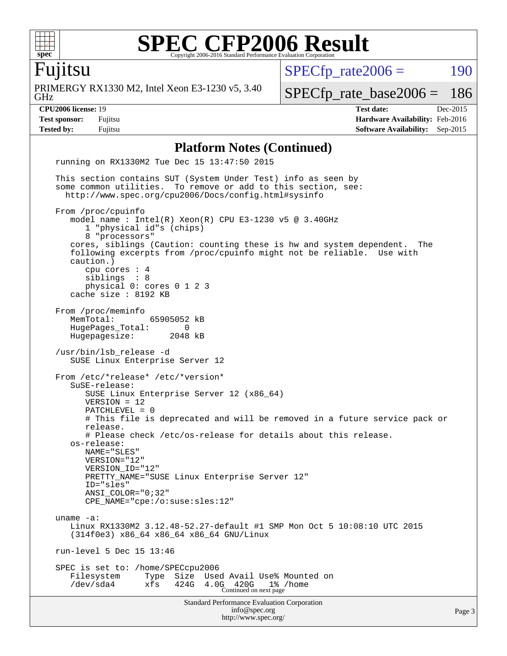

## Fujitsu

GHz PRIMERGY RX1330 M2, Intel Xeon E3-1230 v5, 3.40  $SPECTp\_rate2006 = 190$ 

[SPECfp\\_rate\\_base2006 =](http://www.spec.org/auto/cpu2006/Docs/result-fields.html#SPECfpratebase2006) 186

**[CPU2006 license:](http://www.spec.org/auto/cpu2006/Docs/result-fields.html#CPU2006license)** 19 **[Test date:](http://www.spec.org/auto/cpu2006/Docs/result-fields.html#Testdate)** Dec-2015 **[Test sponsor:](http://www.spec.org/auto/cpu2006/Docs/result-fields.html#Testsponsor)** Fujitsu **[Hardware Availability:](http://www.spec.org/auto/cpu2006/Docs/result-fields.html#HardwareAvailability)** Feb-2016 **[Tested by:](http://www.spec.org/auto/cpu2006/Docs/result-fields.html#Testedby)** Fujitsu **[Software Availability:](http://www.spec.org/auto/cpu2006/Docs/result-fields.html#SoftwareAvailability)** Sep-2015

#### **[Platform Notes \(Continued\)](http://www.spec.org/auto/cpu2006/Docs/result-fields.html#PlatformNotes)**

Standard Performance Evaluation Corporation [info@spec.org](mailto:info@spec.org) <http://www.spec.org/> Page 3 running on RX1330M2 Tue Dec 15 13:47:50 2015 This section contains SUT (System Under Test) info as seen by some common utilities. To remove or add to this section, see: <http://www.spec.org/cpu2006/Docs/config.html#sysinfo> From /proc/cpuinfo model name : Intel(R) Xeon(R) CPU E3-1230 v5 @ 3.40GHz 1 "physical id"s (chips) 8 "processors" cores, siblings (Caution: counting these is hw and system dependent. The following excerpts from /proc/cpuinfo might not be reliable. Use with caution.) cpu cores : 4 siblings : 8 physical 0: cores 0 1 2 3 cache size : 8192 KB From /proc/meminfo<br>MemTotal: 65905052 kB HugePages\_Total: 0 Hugepagesize: 2048 kB /usr/bin/lsb\_release -d SUSE Linux Enterprise Server 12 From /etc/\*release\* /etc/\*version\* SuSE-release: SUSE Linux Enterprise Server 12 (x86\_64) VERSION = 12 PATCHLEVEL = 0 # This file is deprecated and will be removed in a future service pack or release. # Please check /etc/os-release for details about this release. os-release: NAME="SLES" VERSION="12" VERSION\_ID="12" PRETTY\_NAME="SUSE Linux Enterprise Server 12" ID="sles" ANSI\_COLOR="0;32" CPE\_NAME="cpe:/o:suse:sles:12" uname -a: Linux RX1330M2 3.12.48-52.27-default #1 SMP Mon Oct 5 10:08:10 UTC 2015 (314f0e3) x86\_64 x86\_64 x86\_64 GNU/Linux run-level 5 Dec 15 13:46 SPEC is set to: /home/SPECcpu2006 Filesystem Type Size Used Avail Use% Mounted on /dev/sda4 xfs 424G 4.0G 420G 1% /home Continued on next page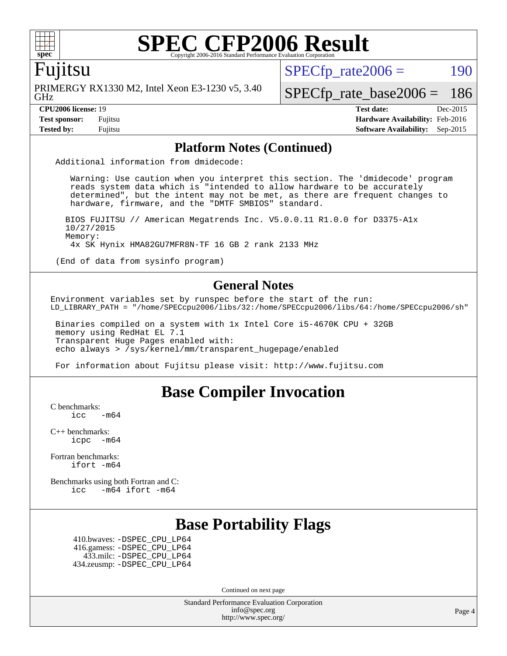

#### Fujitsu

GHz PRIMERGY RX1330 M2, Intel Xeon E3-1230 v5, 3.40  $SPECTp\_rate2006 = 190$ 

[SPECfp\\_rate\\_base2006 =](http://www.spec.org/auto/cpu2006/Docs/result-fields.html#SPECfpratebase2006) 186

**[CPU2006 license:](http://www.spec.org/auto/cpu2006/Docs/result-fields.html#CPU2006license)** 19 **[Test date:](http://www.spec.org/auto/cpu2006/Docs/result-fields.html#Testdate)** Dec-2015 **[Test sponsor:](http://www.spec.org/auto/cpu2006/Docs/result-fields.html#Testsponsor)** Fujitsu **[Hardware Availability:](http://www.spec.org/auto/cpu2006/Docs/result-fields.html#HardwareAvailability)** Feb-2016 **[Tested by:](http://www.spec.org/auto/cpu2006/Docs/result-fields.html#Testedby)** Fujitsu **[Software Availability:](http://www.spec.org/auto/cpu2006/Docs/result-fields.html#SoftwareAvailability)** Sep-2015

#### **[Platform Notes \(Continued\)](http://www.spec.org/auto/cpu2006/Docs/result-fields.html#PlatformNotes)**

Additional information from dmidecode:

 Warning: Use caution when you interpret this section. The 'dmidecode' program reads system data which is "intended to allow hardware to be accurately determined", but the intent may not be met, as there are frequent changes to hardware, firmware, and the "DMTF SMBIOS" standard.

 BIOS FUJITSU // American Megatrends Inc. V5.0.0.11 R1.0.0 for D3375-A1x 10/27/2015 Memory: 4x SK Hynix HMA82GU7MFR8N-TF 16 GB 2 rank 2133 MHz

(End of data from sysinfo program)

#### **[General Notes](http://www.spec.org/auto/cpu2006/Docs/result-fields.html#GeneralNotes)**

Environment variables set by runspec before the start of the run: LD\_LIBRARY\_PATH = "/home/SPECcpu2006/libs/32:/home/SPECcpu2006/libs/64:/home/SPECcpu2006/sh"

 Binaries compiled on a system with 1x Intel Core i5-4670K CPU + 32GB memory using RedHat EL 7.1 Transparent Huge Pages enabled with: echo always > /sys/kernel/mm/transparent\_hugepage/enabled

For information about Fujitsu please visit: <http://www.fujitsu.com>

#### **[Base Compiler Invocation](http://www.spec.org/auto/cpu2006/Docs/result-fields.html#BaseCompilerInvocation)**

[C benchmarks](http://www.spec.org/auto/cpu2006/Docs/result-fields.html#Cbenchmarks):

 $\text{icc}$   $-\text{m64}$ 

[C++ benchmarks:](http://www.spec.org/auto/cpu2006/Docs/result-fields.html#CXXbenchmarks) [icpc -m64](http://www.spec.org/cpu2006/results/res2016q1/cpu2006-20160111-38678.flags.html#user_CXXbase_intel_icpc_64bit_bedb90c1146cab66620883ef4f41a67e)

[Fortran benchmarks](http://www.spec.org/auto/cpu2006/Docs/result-fields.html#Fortranbenchmarks): [ifort -m64](http://www.spec.org/cpu2006/results/res2016q1/cpu2006-20160111-38678.flags.html#user_FCbase_intel_ifort_64bit_ee9d0fb25645d0210d97eb0527dcc06e)

[Benchmarks using both Fortran and C](http://www.spec.org/auto/cpu2006/Docs/result-fields.html#BenchmarksusingbothFortranandC): [icc -m64](http://www.spec.org/cpu2006/results/res2016q1/cpu2006-20160111-38678.flags.html#user_CC_FCbase_intel_icc_64bit_0b7121f5ab7cfabee23d88897260401c) [ifort -m64](http://www.spec.org/cpu2006/results/res2016q1/cpu2006-20160111-38678.flags.html#user_CC_FCbase_intel_ifort_64bit_ee9d0fb25645d0210d97eb0527dcc06e)

### **[Base Portability Flags](http://www.spec.org/auto/cpu2006/Docs/result-fields.html#BasePortabilityFlags)**

 410.bwaves: [-DSPEC\\_CPU\\_LP64](http://www.spec.org/cpu2006/results/res2016q1/cpu2006-20160111-38678.flags.html#suite_basePORTABILITY410_bwaves_DSPEC_CPU_LP64) 416.gamess: [-DSPEC\\_CPU\\_LP64](http://www.spec.org/cpu2006/results/res2016q1/cpu2006-20160111-38678.flags.html#suite_basePORTABILITY416_gamess_DSPEC_CPU_LP64) 433.milc: [-DSPEC\\_CPU\\_LP64](http://www.spec.org/cpu2006/results/res2016q1/cpu2006-20160111-38678.flags.html#suite_basePORTABILITY433_milc_DSPEC_CPU_LP64) 434.zeusmp: [-DSPEC\\_CPU\\_LP64](http://www.spec.org/cpu2006/results/res2016q1/cpu2006-20160111-38678.flags.html#suite_basePORTABILITY434_zeusmp_DSPEC_CPU_LP64)

Continued on next page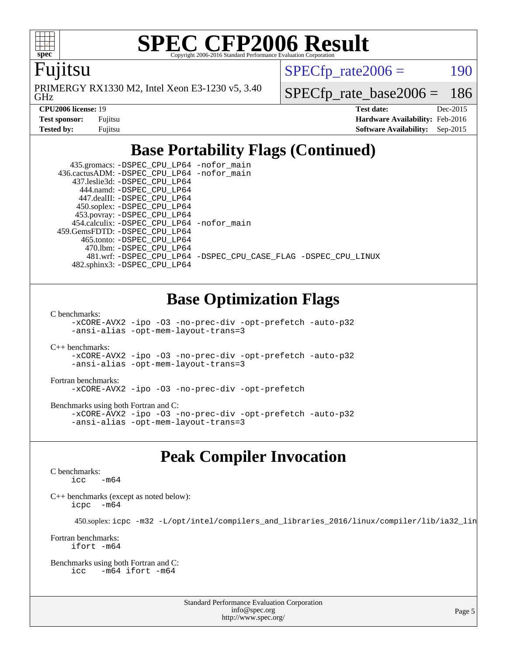

Fujitsu

GHz PRIMERGY RX1330 M2, Intel Xeon E3-1230 v5, 3.40  $SPECTp\_rate2006 = 190$ 

[SPECfp\\_rate\\_base2006 =](http://www.spec.org/auto/cpu2006/Docs/result-fields.html#SPECfpratebase2006) 186

| <b>Test sponsor:</b> | Fujitsu |
|----------------------|---------|
| Tested by:           | Fujitsu |

**[CPU2006 license:](http://www.spec.org/auto/cpu2006/Docs/result-fields.html#CPU2006license)** 19 **[Test date:](http://www.spec.org/auto/cpu2006/Docs/result-fields.html#Testdate)** Dec-2015 **[Hardware Availability:](http://www.spec.org/auto/cpu2006/Docs/result-fields.html#HardwareAvailability)** Feb-2016 **[Software Availability:](http://www.spec.org/auto/cpu2006/Docs/result-fields.html#SoftwareAvailability)** Sep-2015

# **[Base Portability Flags \(Continued\)](http://www.spec.org/auto/cpu2006/Docs/result-fields.html#BasePortabilityFlags)**

 435.gromacs: [-DSPEC\\_CPU\\_LP64](http://www.spec.org/cpu2006/results/res2016q1/cpu2006-20160111-38678.flags.html#suite_basePORTABILITY435_gromacs_DSPEC_CPU_LP64) [-nofor\\_main](http://www.spec.org/cpu2006/results/res2016q1/cpu2006-20160111-38678.flags.html#user_baseLDPORTABILITY435_gromacs_f-nofor_main) 436.cactusADM: [-DSPEC\\_CPU\\_LP64](http://www.spec.org/cpu2006/results/res2016q1/cpu2006-20160111-38678.flags.html#suite_basePORTABILITY436_cactusADM_DSPEC_CPU_LP64) [-nofor\\_main](http://www.spec.org/cpu2006/results/res2016q1/cpu2006-20160111-38678.flags.html#user_baseLDPORTABILITY436_cactusADM_f-nofor_main) 437.leslie3d: [-DSPEC\\_CPU\\_LP64](http://www.spec.org/cpu2006/results/res2016q1/cpu2006-20160111-38678.flags.html#suite_basePORTABILITY437_leslie3d_DSPEC_CPU_LP64) 444.namd: [-DSPEC\\_CPU\\_LP64](http://www.spec.org/cpu2006/results/res2016q1/cpu2006-20160111-38678.flags.html#suite_basePORTABILITY444_namd_DSPEC_CPU_LP64) 447.dealII: [-DSPEC\\_CPU\\_LP64](http://www.spec.org/cpu2006/results/res2016q1/cpu2006-20160111-38678.flags.html#suite_basePORTABILITY447_dealII_DSPEC_CPU_LP64) 450.soplex: [-DSPEC\\_CPU\\_LP64](http://www.spec.org/cpu2006/results/res2016q1/cpu2006-20160111-38678.flags.html#suite_basePORTABILITY450_soplex_DSPEC_CPU_LP64) 453.povray: [-DSPEC\\_CPU\\_LP64](http://www.spec.org/cpu2006/results/res2016q1/cpu2006-20160111-38678.flags.html#suite_basePORTABILITY453_povray_DSPEC_CPU_LP64) 454.calculix: [-DSPEC\\_CPU\\_LP64](http://www.spec.org/cpu2006/results/res2016q1/cpu2006-20160111-38678.flags.html#suite_basePORTABILITY454_calculix_DSPEC_CPU_LP64) [-nofor\\_main](http://www.spec.org/cpu2006/results/res2016q1/cpu2006-20160111-38678.flags.html#user_baseLDPORTABILITY454_calculix_f-nofor_main) 459.GemsFDTD: [-DSPEC\\_CPU\\_LP64](http://www.spec.org/cpu2006/results/res2016q1/cpu2006-20160111-38678.flags.html#suite_basePORTABILITY459_GemsFDTD_DSPEC_CPU_LP64) 465.tonto: [-DSPEC\\_CPU\\_LP64](http://www.spec.org/cpu2006/results/res2016q1/cpu2006-20160111-38678.flags.html#suite_basePORTABILITY465_tonto_DSPEC_CPU_LP64) 470.lbm: [-DSPEC\\_CPU\\_LP64](http://www.spec.org/cpu2006/results/res2016q1/cpu2006-20160111-38678.flags.html#suite_basePORTABILITY470_lbm_DSPEC_CPU_LP64) 481.wrf: [-DSPEC\\_CPU\\_LP64](http://www.spec.org/cpu2006/results/res2016q1/cpu2006-20160111-38678.flags.html#suite_basePORTABILITY481_wrf_DSPEC_CPU_LP64) [-DSPEC\\_CPU\\_CASE\\_FLAG](http://www.spec.org/cpu2006/results/res2016q1/cpu2006-20160111-38678.flags.html#b481.wrf_baseCPORTABILITY_DSPEC_CPU_CASE_FLAG) [-DSPEC\\_CPU\\_LINUX](http://www.spec.org/cpu2006/results/res2016q1/cpu2006-20160111-38678.flags.html#b481.wrf_baseCPORTABILITY_DSPEC_CPU_LINUX) 482.sphinx3: [-DSPEC\\_CPU\\_LP64](http://www.spec.org/cpu2006/results/res2016q1/cpu2006-20160111-38678.flags.html#suite_basePORTABILITY482_sphinx3_DSPEC_CPU_LP64)

# **[Base Optimization Flags](http://www.spec.org/auto/cpu2006/Docs/result-fields.html#BaseOptimizationFlags)**

[C benchmarks](http://www.spec.org/auto/cpu2006/Docs/result-fields.html#Cbenchmarks):

[-xCORE-AVX2](http://www.spec.org/cpu2006/results/res2016q1/cpu2006-20160111-38678.flags.html#user_CCbase_f-xAVX2_5f5fc0cbe2c9f62c816d3e45806c70d7) [-ipo](http://www.spec.org/cpu2006/results/res2016q1/cpu2006-20160111-38678.flags.html#user_CCbase_f-ipo) [-O3](http://www.spec.org/cpu2006/results/res2016q1/cpu2006-20160111-38678.flags.html#user_CCbase_f-O3) [-no-prec-div](http://www.spec.org/cpu2006/results/res2016q1/cpu2006-20160111-38678.flags.html#user_CCbase_f-no-prec-div) [-opt-prefetch](http://www.spec.org/cpu2006/results/res2016q1/cpu2006-20160111-38678.flags.html#user_CCbase_f-opt-prefetch) [-auto-p32](http://www.spec.org/cpu2006/results/res2016q1/cpu2006-20160111-38678.flags.html#user_CCbase_f-auto-p32) [-ansi-alias](http://www.spec.org/cpu2006/results/res2016q1/cpu2006-20160111-38678.flags.html#user_CCbase_f-ansi-alias) [-opt-mem-layout-trans=3](http://www.spec.org/cpu2006/results/res2016q1/cpu2006-20160111-38678.flags.html#user_CCbase_f-opt-mem-layout-trans_a7b82ad4bd7abf52556d4961a2ae94d5)

[C++ benchmarks:](http://www.spec.org/auto/cpu2006/Docs/result-fields.html#CXXbenchmarks) [-xCORE-AVX2](http://www.spec.org/cpu2006/results/res2016q1/cpu2006-20160111-38678.flags.html#user_CXXbase_f-xAVX2_5f5fc0cbe2c9f62c816d3e45806c70d7) [-ipo](http://www.spec.org/cpu2006/results/res2016q1/cpu2006-20160111-38678.flags.html#user_CXXbase_f-ipo) [-O3](http://www.spec.org/cpu2006/results/res2016q1/cpu2006-20160111-38678.flags.html#user_CXXbase_f-O3) [-no-prec-div](http://www.spec.org/cpu2006/results/res2016q1/cpu2006-20160111-38678.flags.html#user_CXXbase_f-no-prec-div) [-opt-prefetch](http://www.spec.org/cpu2006/results/res2016q1/cpu2006-20160111-38678.flags.html#user_CXXbase_f-opt-prefetch) [-auto-p32](http://www.spec.org/cpu2006/results/res2016q1/cpu2006-20160111-38678.flags.html#user_CXXbase_f-auto-p32) [-ansi-alias](http://www.spec.org/cpu2006/results/res2016q1/cpu2006-20160111-38678.flags.html#user_CXXbase_f-ansi-alias) [-opt-mem-layout-trans=3](http://www.spec.org/cpu2006/results/res2016q1/cpu2006-20160111-38678.flags.html#user_CXXbase_f-opt-mem-layout-trans_a7b82ad4bd7abf52556d4961a2ae94d5)

[Fortran benchmarks](http://www.spec.org/auto/cpu2006/Docs/result-fields.html#Fortranbenchmarks): [-xCORE-AVX2](http://www.spec.org/cpu2006/results/res2016q1/cpu2006-20160111-38678.flags.html#user_FCbase_f-xAVX2_5f5fc0cbe2c9f62c816d3e45806c70d7) [-ipo](http://www.spec.org/cpu2006/results/res2016q1/cpu2006-20160111-38678.flags.html#user_FCbase_f-ipo) [-O3](http://www.spec.org/cpu2006/results/res2016q1/cpu2006-20160111-38678.flags.html#user_FCbase_f-O3) [-no-prec-div](http://www.spec.org/cpu2006/results/res2016q1/cpu2006-20160111-38678.flags.html#user_FCbase_f-no-prec-div) [-opt-prefetch](http://www.spec.org/cpu2006/results/res2016q1/cpu2006-20160111-38678.flags.html#user_FCbase_f-opt-prefetch)

[Benchmarks using both Fortran and C](http://www.spec.org/auto/cpu2006/Docs/result-fields.html#BenchmarksusingbothFortranandC): [-xCORE-AVX2](http://www.spec.org/cpu2006/results/res2016q1/cpu2006-20160111-38678.flags.html#user_CC_FCbase_f-xAVX2_5f5fc0cbe2c9f62c816d3e45806c70d7) [-ipo](http://www.spec.org/cpu2006/results/res2016q1/cpu2006-20160111-38678.flags.html#user_CC_FCbase_f-ipo) [-O3](http://www.spec.org/cpu2006/results/res2016q1/cpu2006-20160111-38678.flags.html#user_CC_FCbase_f-O3) [-no-prec-div](http://www.spec.org/cpu2006/results/res2016q1/cpu2006-20160111-38678.flags.html#user_CC_FCbase_f-no-prec-div) [-opt-prefetch](http://www.spec.org/cpu2006/results/res2016q1/cpu2006-20160111-38678.flags.html#user_CC_FCbase_f-opt-prefetch) [-auto-p32](http://www.spec.org/cpu2006/results/res2016q1/cpu2006-20160111-38678.flags.html#user_CC_FCbase_f-auto-p32) [-ansi-alias](http://www.spec.org/cpu2006/results/res2016q1/cpu2006-20160111-38678.flags.html#user_CC_FCbase_f-ansi-alias) [-opt-mem-layout-trans=3](http://www.spec.org/cpu2006/results/res2016q1/cpu2006-20160111-38678.flags.html#user_CC_FCbase_f-opt-mem-layout-trans_a7b82ad4bd7abf52556d4961a2ae94d5)

### **[Peak Compiler Invocation](http://www.spec.org/auto/cpu2006/Docs/result-fields.html#PeakCompilerInvocation)**

[C benchmarks](http://www.spec.org/auto/cpu2006/Docs/result-fields.html#Cbenchmarks):  $\text{icc}$   $-\text{m64}$ 

[C++ benchmarks \(except as noted below\):](http://www.spec.org/auto/cpu2006/Docs/result-fields.html#CXXbenchmarksexceptasnotedbelow) [icpc -m64](http://www.spec.org/cpu2006/results/res2016q1/cpu2006-20160111-38678.flags.html#user_CXXpeak_intel_icpc_64bit_bedb90c1146cab66620883ef4f41a67e)

450.soplex: [icpc -m32 -L/opt/intel/compilers\\_and\\_libraries\\_2016/linux/compiler/lib/ia32\\_lin](http://www.spec.org/cpu2006/results/res2016q1/cpu2006-20160111-38678.flags.html#user_peakCXXLD450_soplex_intel_icpc_b4f50a394bdb4597aa5879c16bc3f5c5)

[Fortran benchmarks](http://www.spec.org/auto/cpu2006/Docs/result-fields.html#Fortranbenchmarks): [ifort -m64](http://www.spec.org/cpu2006/results/res2016q1/cpu2006-20160111-38678.flags.html#user_FCpeak_intel_ifort_64bit_ee9d0fb25645d0210d97eb0527dcc06e)

[Benchmarks using both Fortran and C](http://www.spec.org/auto/cpu2006/Docs/result-fields.html#BenchmarksusingbothFortranandC): [icc -m64](http://www.spec.org/cpu2006/results/res2016q1/cpu2006-20160111-38678.flags.html#user_CC_FCpeak_intel_icc_64bit_0b7121f5ab7cfabee23d88897260401c) [ifort -m64](http://www.spec.org/cpu2006/results/res2016q1/cpu2006-20160111-38678.flags.html#user_CC_FCpeak_intel_ifort_64bit_ee9d0fb25645d0210d97eb0527dcc06e)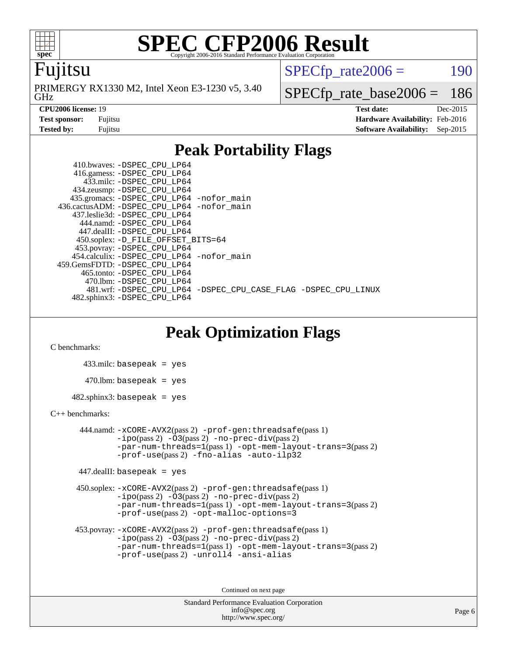

#### Fujitsu

GHz PRIMERGY RX1330 M2, Intel Xeon E3-1230 v5, 3.40  $SPECTp\_rate2006 = 190$ 

[SPECfp\\_rate\\_base2006 =](http://www.spec.org/auto/cpu2006/Docs/result-fields.html#SPECfpratebase2006) 186

**[CPU2006 license:](http://www.spec.org/auto/cpu2006/Docs/result-fields.html#CPU2006license)** 19 **[Test date:](http://www.spec.org/auto/cpu2006/Docs/result-fields.html#Testdate)** Dec-2015

**[Test sponsor:](http://www.spec.org/auto/cpu2006/Docs/result-fields.html#Testsponsor)** Fujitsu **[Hardware Availability:](http://www.spec.org/auto/cpu2006/Docs/result-fields.html#HardwareAvailability)** Feb-2016 **[Tested by:](http://www.spec.org/auto/cpu2006/Docs/result-fields.html#Testedby)** Fujitsu **[Software Availability:](http://www.spec.org/auto/cpu2006/Docs/result-fields.html#SoftwareAvailability)** Sep-2015

### **[Peak Portability Flags](http://www.spec.org/auto/cpu2006/Docs/result-fields.html#PeakPortabilityFlags)**

 410.bwaves: [-DSPEC\\_CPU\\_LP64](http://www.spec.org/cpu2006/results/res2016q1/cpu2006-20160111-38678.flags.html#suite_peakPORTABILITY410_bwaves_DSPEC_CPU_LP64) 416.gamess: [-DSPEC\\_CPU\\_LP64](http://www.spec.org/cpu2006/results/res2016q1/cpu2006-20160111-38678.flags.html#suite_peakPORTABILITY416_gamess_DSPEC_CPU_LP64) 433.milc: [-DSPEC\\_CPU\\_LP64](http://www.spec.org/cpu2006/results/res2016q1/cpu2006-20160111-38678.flags.html#suite_peakPORTABILITY433_milc_DSPEC_CPU_LP64) 434.zeusmp: [-DSPEC\\_CPU\\_LP64](http://www.spec.org/cpu2006/results/res2016q1/cpu2006-20160111-38678.flags.html#suite_peakPORTABILITY434_zeusmp_DSPEC_CPU_LP64) 435.gromacs: [-DSPEC\\_CPU\\_LP64](http://www.spec.org/cpu2006/results/res2016q1/cpu2006-20160111-38678.flags.html#suite_peakPORTABILITY435_gromacs_DSPEC_CPU_LP64) [-nofor\\_main](http://www.spec.org/cpu2006/results/res2016q1/cpu2006-20160111-38678.flags.html#user_peakLDPORTABILITY435_gromacs_f-nofor_main) 436.cactusADM: [-DSPEC\\_CPU\\_LP64](http://www.spec.org/cpu2006/results/res2016q1/cpu2006-20160111-38678.flags.html#suite_peakPORTABILITY436_cactusADM_DSPEC_CPU_LP64) [-nofor\\_main](http://www.spec.org/cpu2006/results/res2016q1/cpu2006-20160111-38678.flags.html#user_peakLDPORTABILITY436_cactusADM_f-nofor_main) 437.leslie3d: [-DSPEC\\_CPU\\_LP64](http://www.spec.org/cpu2006/results/res2016q1/cpu2006-20160111-38678.flags.html#suite_peakPORTABILITY437_leslie3d_DSPEC_CPU_LP64) 444.namd: [-DSPEC\\_CPU\\_LP64](http://www.spec.org/cpu2006/results/res2016q1/cpu2006-20160111-38678.flags.html#suite_peakPORTABILITY444_namd_DSPEC_CPU_LP64) 447.dealII: [-DSPEC\\_CPU\\_LP64](http://www.spec.org/cpu2006/results/res2016q1/cpu2006-20160111-38678.flags.html#suite_peakPORTABILITY447_dealII_DSPEC_CPU_LP64) 450.soplex: [-D\\_FILE\\_OFFSET\\_BITS=64](http://www.spec.org/cpu2006/results/res2016q1/cpu2006-20160111-38678.flags.html#user_peakPORTABILITY450_soplex_file_offset_bits_64_438cf9856305ebd76870a2c6dc2689ab) 453.povray: [-DSPEC\\_CPU\\_LP64](http://www.spec.org/cpu2006/results/res2016q1/cpu2006-20160111-38678.flags.html#suite_peakPORTABILITY453_povray_DSPEC_CPU_LP64) 454.calculix: [-DSPEC\\_CPU\\_LP64](http://www.spec.org/cpu2006/results/res2016q1/cpu2006-20160111-38678.flags.html#suite_peakPORTABILITY454_calculix_DSPEC_CPU_LP64) [-nofor\\_main](http://www.spec.org/cpu2006/results/res2016q1/cpu2006-20160111-38678.flags.html#user_peakLDPORTABILITY454_calculix_f-nofor_main) 459.GemsFDTD: [-DSPEC\\_CPU\\_LP64](http://www.spec.org/cpu2006/results/res2016q1/cpu2006-20160111-38678.flags.html#suite_peakPORTABILITY459_GemsFDTD_DSPEC_CPU_LP64) 465.tonto: [-DSPEC\\_CPU\\_LP64](http://www.spec.org/cpu2006/results/res2016q1/cpu2006-20160111-38678.flags.html#suite_peakPORTABILITY465_tonto_DSPEC_CPU_LP64) 470.lbm: [-DSPEC\\_CPU\\_LP64](http://www.spec.org/cpu2006/results/res2016q1/cpu2006-20160111-38678.flags.html#suite_peakPORTABILITY470_lbm_DSPEC_CPU_LP64) 481.wrf: [-DSPEC\\_CPU\\_LP64](http://www.spec.org/cpu2006/results/res2016q1/cpu2006-20160111-38678.flags.html#suite_peakPORTABILITY481_wrf_DSPEC_CPU_LP64) [-DSPEC\\_CPU\\_CASE\\_FLAG](http://www.spec.org/cpu2006/results/res2016q1/cpu2006-20160111-38678.flags.html#b481.wrf_peakCPORTABILITY_DSPEC_CPU_CASE_FLAG) [-DSPEC\\_CPU\\_LINUX](http://www.spec.org/cpu2006/results/res2016q1/cpu2006-20160111-38678.flags.html#b481.wrf_peakCPORTABILITY_DSPEC_CPU_LINUX) 482.sphinx3: [-DSPEC\\_CPU\\_LP64](http://www.spec.org/cpu2006/results/res2016q1/cpu2006-20160111-38678.flags.html#suite_peakPORTABILITY482_sphinx3_DSPEC_CPU_LP64)

### **[Peak Optimization Flags](http://www.spec.org/auto/cpu2006/Docs/result-fields.html#PeakOptimizationFlags)**

[C benchmarks](http://www.spec.org/auto/cpu2006/Docs/result-fields.html#Cbenchmarks):

 433.milc: basepeak = yes  $470.1$ bm: basepeak = yes  $482$ .sphinx3: basepeak = yes

#### [C++ benchmarks:](http://www.spec.org/auto/cpu2006/Docs/result-fields.html#CXXbenchmarks)

 444.namd: [-xCORE-AVX2](http://www.spec.org/cpu2006/results/res2016q1/cpu2006-20160111-38678.flags.html#user_peakPASS2_CXXFLAGSPASS2_LDFLAGS444_namd_f-xAVX2_5f5fc0cbe2c9f62c816d3e45806c70d7)(pass 2) [-prof-gen:threadsafe](http://www.spec.org/cpu2006/results/res2016q1/cpu2006-20160111-38678.flags.html#user_peakPASS1_CXXFLAGSPASS1_LDFLAGS444_namd_prof_gen_21a26eb79f378b550acd7bec9fe4467a)(pass 1)  $-i\text{po}(pass 2) -03(pass 2) -no-prec-div(pass 2)$  $-i\text{po}(pass 2) -03(pass 2) -no-prec-div(pass 2)$  $-i\text{po}(pass 2) -03(pass 2) -no-prec-div(pass 2)$ [-par-num-threads=1](http://www.spec.org/cpu2006/results/res2016q1/cpu2006-20160111-38678.flags.html#user_peakPASS1_CXXFLAGSPASS1_LDFLAGS444_namd_par_num_threads_786a6ff141b4e9e90432e998842df6c2)(pass 1) [-opt-mem-layout-trans=3](http://www.spec.org/cpu2006/results/res2016q1/cpu2006-20160111-38678.flags.html#user_peakPASS2_CXXFLAGS444_namd_f-opt-mem-layout-trans_a7b82ad4bd7abf52556d4961a2ae94d5)(pass 2) [-prof-use](http://www.spec.org/cpu2006/results/res2016q1/cpu2006-20160111-38678.flags.html#user_peakPASS2_CXXFLAGSPASS2_LDFLAGS444_namd_prof_use_bccf7792157ff70d64e32fe3e1250b55)(pass 2) [-fno-alias](http://www.spec.org/cpu2006/results/res2016q1/cpu2006-20160111-38678.flags.html#user_peakCXXOPTIMIZE444_namd_f-no-alias_694e77f6c5a51e658e82ccff53a9e63a) [-auto-ilp32](http://www.spec.org/cpu2006/results/res2016q1/cpu2006-20160111-38678.flags.html#user_peakCXXOPTIMIZE444_namd_f-auto-ilp32)

447.dealII: basepeak = yes

 450.soplex: [-xCORE-AVX2](http://www.spec.org/cpu2006/results/res2016q1/cpu2006-20160111-38678.flags.html#user_peakPASS2_CXXFLAGSPASS2_LDFLAGS450_soplex_f-xAVX2_5f5fc0cbe2c9f62c816d3e45806c70d7)(pass 2) [-prof-gen:threadsafe](http://www.spec.org/cpu2006/results/res2016q1/cpu2006-20160111-38678.flags.html#user_peakPASS1_CXXFLAGSPASS1_LDFLAGS450_soplex_prof_gen_21a26eb79f378b550acd7bec9fe4467a)(pass 1)  $-i\text{po}(pass 2) -\tilde{O}3(pass 2)$  [-no-prec-div](http://www.spec.org/cpu2006/results/res2016q1/cpu2006-20160111-38678.flags.html#user_peakPASS2_CXXFLAGSPASS2_LDFLAGS450_soplex_f-no-prec-div)(pass 2) [-par-num-threads=1](http://www.spec.org/cpu2006/results/res2016q1/cpu2006-20160111-38678.flags.html#user_peakPASS1_CXXFLAGSPASS1_LDFLAGS450_soplex_par_num_threads_786a6ff141b4e9e90432e998842df6c2)(pass 1) [-opt-mem-layout-trans=3](http://www.spec.org/cpu2006/results/res2016q1/cpu2006-20160111-38678.flags.html#user_peakPASS2_CXXFLAGS450_soplex_f-opt-mem-layout-trans_a7b82ad4bd7abf52556d4961a2ae94d5)(pass 2) [-prof-use](http://www.spec.org/cpu2006/results/res2016q1/cpu2006-20160111-38678.flags.html#user_peakPASS2_CXXFLAGSPASS2_LDFLAGS450_soplex_prof_use_bccf7792157ff70d64e32fe3e1250b55)(pass 2) [-opt-malloc-options=3](http://www.spec.org/cpu2006/results/res2016q1/cpu2006-20160111-38678.flags.html#user_peakOPTIMIZE450_soplex_f-opt-malloc-options_13ab9b803cf986b4ee62f0a5998c2238)

```
 453.povray: -xCORE-AVX2(pass 2) -prof-gen:threadsafe(pass 1)
-i\text{po}(pass 2) -03(pass 2)-no-prec-div(pass 2)
-par-num-threads=1(pass 1) -opt-mem-layout-trans=3(pass 2)
-prof-use(pass 2) -unroll4 -ansi-alias
```
Continued on next page

```
Standard Performance Evaluation Corporation
    info@spec.org
 http://www.spec.org/
```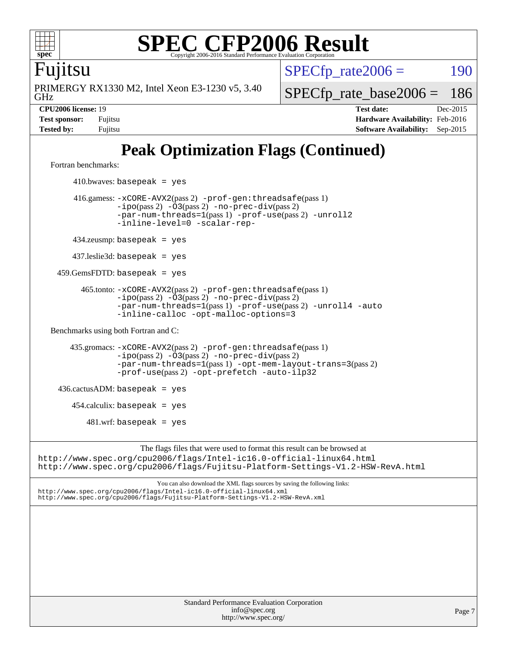

Fujitsu

GHz PRIMERGY RX1330 M2, Intel Xeon E3-1230 v5, 3.40  $SPECTp\_rate2006 = 190$ 

[SPECfp\\_rate\\_base2006 =](http://www.spec.org/auto/cpu2006/Docs/result-fields.html#SPECfpratebase2006) 186

**[CPU2006 license:](http://www.spec.org/auto/cpu2006/Docs/result-fields.html#CPU2006license)** 19 **[Test date:](http://www.spec.org/auto/cpu2006/Docs/result-fields.html#Testdate)** Dec-2015 **[Test sponsor:](http://www.spec.org/auto/cpu2006/Docs/result-fields.html#Testsponsor)** Fujitsu **[Hardware Availability:](http://www.spec.org/auto/cpu2006/Docs/result-fields.html#HardwareAvailability)** Feb-2016 **[Tested by:](http://www.spec.org/auto/cpu2006/Docs/result-fields.html#Testedby)** Fujitsu **[Software Availability:](http://www.spec.org/auto/cpu2006/Docs/result-fields.html#SoftwareAvailability)** Sep-2015

# **[Peak Optimization Flags \(Continued\)](http://www.spec.org/auto/cpu2006/Docs/result-fields.html#PeakOptimizationFlags)**

[Fortran benchmarks](http://www.spec.org/auto/cpu2006/Docs/result-fields.html#Fortranbenchmarks):

 $410.bwaves: basepeak = yes$  416.gamess: [-xCORE-AVX2](http://www.spec.org/cpu2006/results/res2016q1/cpu2006-20160111-38678.flags.html#user_peakPASS2_FFLAGSPASS2_LDFLAGS416_gamess_f-xAVX2_5f5fc0cbe2c9f62c816d3e45806c70d7)(pass 2) [-prof-gen:threadsafe](http://www.spec.org/cpu2006/results/res2016q1/cpu2006-20160111-38678.flags.html#user_peakPASS1_FFLAGSPASS1_LDFLAGS416_gamess_prof_gen_21a26eb79f378b550acd7bec9fe4467a)(pass 1) [-ipo](http://www.spec.org/cpu2006/results/res2016q1/cpu2006-20160111-38678.flags.html#user_peakPASS2_FFLAGSPASS2_LDFLAGS416_gamess_f-ipo)(pass 2) [-O3](http://www.spec.org/cpu2006/results/res2016q1/cpu2006-20160111-38678.flags.html#user_peakPASS2_FFLAGSPASS2_LDFLAGS416_gamess_f-O3)(pass 2) [-no-prec-div](http://www.spec.org/cpu2006/results/res2016q1/cpu2006-20160111-38678.flags.html#user_peakPASS2_FFLAGSPASS2_LDFLAGS416_gamess_f-no-prec-div)(pass 2) [-par-num-threads=1](http://www.spec.org/cpu2006/results/res2016q1/cpu2006-20160111-38678.flags.html#user_peakPASS1_FFLAGSPASS1_LDFLAGS416_gamess_par_num_threads_786a6ff141b4e9e90432e998842df6c2)(pass 1) [-prof-use](http://www.spec.org/cpu2006/results/res2016q1/cpu2006-20160111-38678.flags.html#user_peakPASS2_FFLAGSPASS2_LDFLAGS416_gamess_prof_use_bccf7792157ff70d64e32fe3e1250b55)(pass 2) [-unroll2](http://www.spec.org/cpu2006/results/res2016q1/cpu2006-20160111-38678.flags.html#user_peakOPTIMIZE416_gamess_f-unroll_784dae83bebfb236979b41d2422d7ec2) [-inline-level=0](http://www.spec.org/cpu2006/results/res2016q1/cpu2006-20160111-38678.flags.html#user_peakOPTIMIZE416_gamess_f-inline-level_318d07a09274ad25e8d15dbfaa68ba50) [-scalar-rep-](http://www.spec.org/cpu2006/results/res2016q1/cpu2006-20160111-38678.flags.html#user_peakOPTIMIZE416_gamess_f-disablescalarrep_abbcad04450fb118e4809c81d83c8a1d) 434.zeusmp: basepeak = yes 437.leslie3d: basepeak = yes 459.GemsFDTD: basepeak = yes 465.tonto: [-xCORE-AVX2](http://www.spec.org/cpu2006/results/res2016q1/cpu2006-20160111-38678.flags.html#user_peakPASS2_FFLAGSPASS2_LDFLAGS465_tonto_f-xAVX2_5f5fc0cbe2c9f62c816d3e45806c70d7)(pass 2) [-prof-gen:threadsafe](http://www.spec.org/cpu2006/results/res2016q1/cpu2006-20160111-38678.flags.html#user_peakPASS1_FFLAGSPASS1_LDFLAGS465_tonto_prof_gen_21a26eb79f378b550acd7bec9fe4467a)(pass 1)  $-ipo(pass 2)$  $-ipo(pass 2)$   $-03(pass 2)$   $-no-prec-div(pass 2)$  $-no-prec-div(pass 2)$ [-par-num-threads=1](http://www.spec.org/cpu2006/results/res2016q1/cpu2006-20160111-38678.flags.html#user_peakPASS1_FFLAGSPASS1_LDFLAGS465_tonto_par_num_threads_786a6ff141b4e9e90432e998842df6c2)(pass 1) [-prof-use](http://www.spec.org/cpu2006/results/res2016q1/cpu2006-20160111-38678.flags.html#user_peakPASS2_FFLAGSPASS2_LDFLAGS465_tonto_prof_use_bccf7792157ff70d64e32fe3e1250b55)(pass 2) [-unroll4](http://www.spec.org/cpu2006/results/res2016q1/cpu2006-20160111-38678.flags.html#user_peakOPTIMIZE465_tonto_f-unroll_4e5e4ed65b7fd20bdcd365bec371b81f) [-auto](http://www.spec.org/cpu2006/results/res2016q1/cpu2006-20160111-38678.flags.html#user_peakOPTIMIZE465_tonto_f-auto) [-inline-calloc](http://www.spec.org/cpu2006/results/res2016q1/cpu2006-20160111-38678.flags.html#user_peakOPTIMIZE465_tonto_f-inline-calloc) [-opt-malloc-options=3](http://www.spec.org/cpu2006/results/res2016q1/cpu2006-20160111-38678.flags.html#user_peakOPTIMIZE465_tonto_f-opt-malloc-options_13ab9b803cf986b4ee62f0a5998c2238) [Benchmarks using both Fortran and C](http://www.spec.org/auto/cpu2006/Docs/result-fields.html#BenchmarksusingbothFortranandC): 435.gromacs: [-xCORE-AVX2](http://www.spec.org/cpu2006/results/res2016q1/cpu2006-20160111-38678.flags.html#user_peakPASS2_CFLAGSPASS2_FFLAGSPASS2_LDFLAGS435_gromacs_f-xAVX2_5f5fc0cbe2c9f62c816d3e45806c70d7)(pass 2) [-prof-gen:threadsafe](http://www.spec.org/cpu2006/results/res2016q1/cpu2006-20160111-38678.flags.html#user_peakPASS1_CFLAGSPASS1_FFLAGSPASS1_LDFLAGS435_gromacs_prof_gen_21a26eb79f378b550acd7bec9fe4467a)(pass 1) [-ipo](http://www.spec.org/cpu2006/results/res2016q1/cpu2006-20160111-38678.flags.html#user_peakPASS2_CFLAGSPASS2_FFLAGSPASS2_LDFLAGS435_gromacs_f-ipo)(pass 2) [-O3](http://www.spec.org/cpu2006/results/res2016q1/cpu2006-20160111-38678.flags.html#user_peakPASS2_CFLAGSPASS2_FFLAGSPASS2_LDFLAGS435_gromacs_f-O3)(pass 2) [-no-prec-div](http://www.spec.org/cpu2006/results/res2016q1/cpu2006-20160111-38678.flags.html#user_peakPASS2_CFLAGSPASS2_FFLAGSPASS2_LDFLAGS435_gromacs_f-no-prec-div)(pass 2) [-par-num-threads=1](http://www.spec.org/cpu2006/results/res2016q1/cpu2006-20160111-38678.flags.html#user_peakPASS1_CFLAGSPASS1_FFLAGSPASS1_LDFLAGS435_gromacs_par_num_threads_786a6ff141b4e9e90432e998842df6c2)(pass 1) [-opt-mem-layout-trans=3](http://www.spec.org/cpu2006/results/res2016q1/cpu2006-20160111-38678.flags.html#user_peakPASS2_CFLAGS435_gromacs_f-opt-mem-layout-trans_a7b82ad4bd7abf52556d4961a2ae94d5)(pass 2) [-prof-use](http://www.spec.org/cpu2006/results/res2016q1/cpu2006-20160111-38678.flags.html#user_peakPASS2_CFLAGSPASS2_FFLAGSPASS2_LDFLAGS435_gromacs_prof_use_bccf7792157ff70d64e32fe3e1250b55)(pass 2) [-opt-prefetch](http://www.spec.org/cpu2006/results/res2016q1/cpu2006-20160111-38678.flags.html#user_peakOPTIMIZE435_gromacs_f-opt-prefetch) [-auto-ilp32](http://www.spec.org/cpu2006/results/res2016q1/cpu2006-20160111-38678.flags.html#user_peakCOPTIMIZE435_gromacs_f-auto-ilp32)  $436.cactusADM:basepeak = yes$  454.calculix: basepeak = yes  $481.$ wrf: basepeak = yes The flags files that were used to format this result can be browsed at <http://www.spec.org/cpu2006/flags/Intel-ic16.0-official-linux64.html> <http://www.spec.org/cpu2006/flags/Fujitsu-Platform-Settings-V1.2-HSW-RevA.html> You can also download the XML flags sources by saving the following links: <http://www.spec.org/cpu2006/flags/Intel-ic16.0-official-linux64.xml> <http://www.spec.org/cpu2006/flags/Fujitsu-Platform-Settings-V1.2-HSW-RevA.xml>